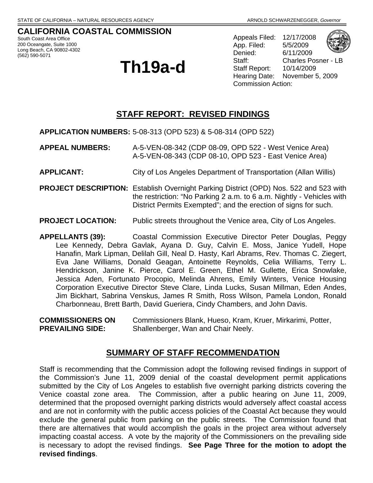**CALIFORNIA COASTAL COMMISSION**  South Coast Area Office 200 Oceangate, Suite 1000 Long Beach, CA 90802-4302 (562) 590-5071

# **Th19a-d**

Appeals Filed: 12/17/2008 App. Filed: 5/5/2009 Denied: 6/11/2009 Staff: Charles Posner - LB Staff Report: 10/14/2009 Hearing Date: November 5, 2009 Commission Action:

### **STAFF REPORT: REVISED FINDINGS**

**APPLICATION NUMBERS:** 5-08-313 (OPD 523) & 5-08-314 (OPD 522)

- **APPEAL NUMBERS:** A-5-VEN-08-342 (CDP 08-09, OPD 522 West Venice Area) A-5-VEN-08-343 (CDP 08-10, OPD 523 - East Venice Area)
- **APPLICANT:** City of Los Angeles Department of Transportation (Allan Willis)
- **PROJECT DESCRIPTION:** Establish Overnight Parking District (OPD) Nos. 522 and 523 with the restriction: "No Parking 2 a.m. to 6 a.m. Nightly - Vehicles with District Permits Exempted"; and the erection of signs for such.
- **PROJECT LOCATION:** Public streets throughout the Venice area, City of Los Angeles.

**APPELLANTS (39):** Coastal Commission Executive Director Peter Douglas, Peggy Lee Kennedy, Debra Gavlak, Ayana D. Guy, Calvin E. Moss, Janice Yudell, Hope Hanafin, Mark Lipman, Delilah Gill, Neal D. Hasty, Karl Abrams, Rev. Thomas C. Ziegert, Eva Jane Williams, Donald Geagan, Antoinette Reynolds, Celia Williams, Terry L. Hendrickson, Janine K. Pierce, Carol E. Green, Ethel M. Gullette, Erica Snowlake, Jessica Aden, Fortunato Procopio, Melinda Ahrens, Emily Winters, Venice Housing Corporation Executive Director Steve Clare, Linda Lucks, Susan Millman, Eden Andes, Jim Bickhart, Sabrina Venskus, James R Smith, Ross Wilson, Pamela London, Ronald Charbonneau, Brett Barth, David Gueriera, Cindy Chambers, and John Davis.

**COMMISSIONERS ON** Commissioners Blank, Hueso, Kram, Kruer, Mirkarimi, Potter, **PREVAILING SIDE:** Shallenberger, Wan and Chair Neely.

### **SUMMARY OF STAFF RECOMMENDATION**

Staff is recommending that the Commission adopt the following revised findings in support of the Commission's June 11, 2009 denial of the coastal development permit applications submitted by the City of Los Angeles to establish five overnight parking districts covering the Venice coastal zone area. The Commission, after a public hearing on June 11, 2009, determined that the proposed overnight parking districts would adversely affect coastal access and are not in conformity with the public access policies of the Coastal Act because they would exclude the general public from parking on the public streets. The Commission found that there are alternatives that would accomplish the goals in the project area without adversely impacting coastal access. A vote by the majority of the Commissioners on the prevailing side is necessary to adopt the revised findings. **See Page Three for the motion to adopt the revised findings**.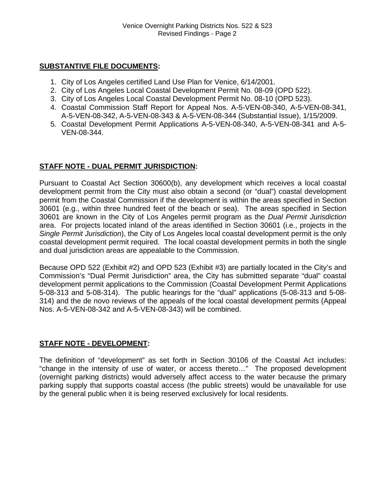### **SUBSTANTIVE FILE DOCUMENTS:**

- 1. City of Los Angeles certified Land Use Plan for Venice, 6/14/2001.
- 2. City of Los Angeles Local Coastal Development Permit No. 08-09 (OPD 522).
- 3. City of Los Angeles Local Coastal Development Permit No. 08-10 (OPD 523).
- 4. Coastal Commission Staff Report for Appeal Nos. A-5-VEN-08-340, A-5-VEN-08-341, A-5-VEN-08-342, A-5-VEN-08-343 & A-5-VEN-08-344 (Substantial Issue), 1/15/2009.
- 5. Coastal Development Permit Applications A-5-VEN-08-340, A-5-VEN-08-341 and A-5- VEN-08-344.

### **STAFF NOTE - DUAL PERMIT JURISDICTION:**

Pursuant to Coastal Act Section 30600(b), any development which receives a local coastal development permit from the City must also obtain a second (or "dual") coastal development permit from the Coastal Commission if the development is within the areas specified in Section 30601 (e.g., within three hundred feet of the beach or sea). The areas specified in Section 30601 are known in the City of Los Angeles permit program as the *Dual Permit Jurisdiction* area. For projects located inland of the areas identified in Section 30601 (i.e., projects in the *Single Permit Jurisdiction*), the City of Los Angeles local coastal development permit is the only coastal development permit required. The local coastal development permits in both the single and dual jurisdiction areas are appealable to the Commission.

Because OPD 522 (Exhibit #2) and OPD 523 (Exhibit #3) are partially located in the City's and Commission's "Dual Permit Jurisdiction" area, the City has submitted separate "dual" coastal development permit applications to the Commission (Coastal Development Permit Applications 5-08-313 and 5-08-314). The public hearings for the "dual" applications (5-08-313 and 5-08- 314) and the de novo reviews of the appeals of the local coastal development permits (Appeal Nos. A-5-VEN-08-342 and A-5-VEN-08-343) will be combined.

### **STAFF NOTE - DEVELOPMENT:**

The definition of "development" as set forth in Section 30106 of the Coastal Act includes: "change in the intensity of use of water, or access thereto…" The proposed development (overnight parking districts) would adversely affect access to the water because the primary parking supply that supports coastal access (the public streets) would be unavailable for use by the general public when it is being reserved exclusively for local residents.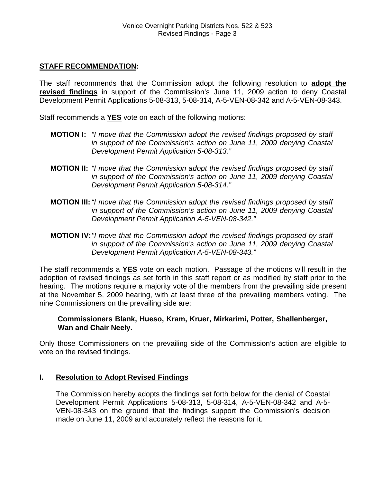### **STAFF RECOMMENDATION:**

The staff recommends that the Commission adopt the following resolution to **adopt the revised findings** in support of the Commission's June 11, 2009 action to deny Coastal Development Permit Applications 5-08-313, 5-08-314, A-5-VEN-08-342 and A-5-VEN-08-343.

Staff recommends a **YES** vote on each of the following motions:

- **MOTION I:** *"I move that the Commission adopt the revised findings proposed by staff in support of the Commission's action on June 11, 2009 denying Coastal Development Permit Application 5-08-313."*
- **MOTION II:** *"I move that the Commission adopt the revised findings proposed by staff in support of the Commission's action on June 11, 2009 denying Coastal Development Permit Application 5-08-314."*
- **MOTION III:***"I move that the Commission adopt the revised findings proposed by staff in support of the Commission's action on June 11, 2009 denying Coastal Development Permit Application A-5-VEN-08-342."*
- **MOTION IV:***"I move that the Commission adopt the revised findings proposed by staff in support of the Commission's action on June 11, 2009 denying Coastal Development Permit Application A-5-VEN-08-343."*

The staff recommends a **YES** vote on each motion. Passage of the motions will result in the adoption of revised findings as set forth in this staff report or as modified by staff prior to the hearing. The motions require a majority vote of the members from the prevailing side present at the November 5, 2009 hearing, with at least three of the prevailing members voting. The nine Commissioners on the prevailing side are:

### **Commissioners Blank, Hueso, Kram, Kruer, Mirkarimi, Potter, Shallenberger, Wan and Chair Neely.**

Only those Commissioners on the prevailing side of the Commission's action are eligible to vote on the revised findings.

### **I. Resolution to Adopt Revised Findings**

The Commission hereby adopts the findings set forth below for the denial of Coastal Development Permit Applications 5-08-313, 5-08-314, A-5-VEN-08-342 and A-5- VEN-08-343 on the ground that the findings support the Commission's decision made on June 11, 2009 and accurately reflect the reasons for it.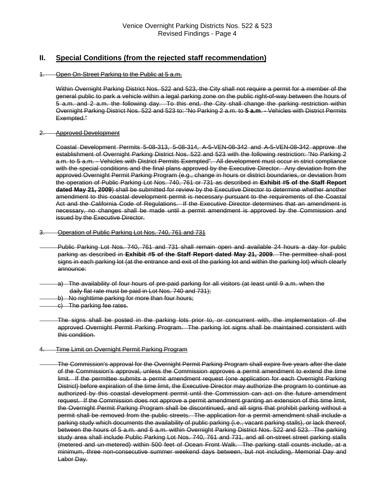### **II. Special Conditions (from the rejected staff recommendation)**

#### 1. Open On-Street Parking to the Public at 5 a.m.

Within Overnight Parking District Nos. 522 and 523, the City shall not require a permit for a member of the general public to park a vehicle within a legal parking zone on the public right-of-way between the hours of 5 a.m. and 2 a.m. the following day. To this end, the City shall change the parking restriction within Overnight Parking District Nos. 522 and 523 to: "No Parking 2 a.m. to **5 a.m**. - Vehicles with District Permits Exempted."

#### 2. Approved Development

Coastal Development Permits 5-08-313, 5-08-314, A-5-VEN-08-342 and A-5-VEN-08-342 approve the establishment of Overnight Parking District Nos. 522 and 523 with the following restriction: "No Parking 2 a.m. to 5 a.m. - Vehicles with District Permits Exempted". All development must occur in strict compliance with the special conditions and the final plans approved by the Executive Director. Any deviation from the approved Overnight Permit Parking Program (e.g., change in hours or district boundaries, or deviation from the operation of Public Parking Lot Nos. 740, 761 or 731 as described in **Exhibit #5 of the Staff Report dated May 21, 2009**) shall be submitted for review by the Executive Director to determine whether another amendment to this coastal development permit is necessary pursuant to the requirements of the Coastal Act and the California Code of Regulations. If the Executive Director determines that an amendment is necessary, no changes shall be made until a permit amendment is approved by the Commission and issued by the Executive Director.

#### 3. Operation of Public Parking Lot Nos. 740, 761 and 731

- Public Parking Lot Nos. 740, 761 and 731 shall remain open and available 24 hours a day for public parking as described in **Exhibit #5 of the Staff Report dated May 21, 2009**. The permittee shall post signs in each parking lot (at the entrance and exit of the parking lot and within the parking lot) which clearly announce:
- a) The availability of four hours of pre-paid parking for all visitors (at least until 9 a.m. when the daily flat rate must be paid in Lot Nos. 740 and 731);
- b) No nighttime parking for more than four hours;
- c) The parking fee rates.

The signs shall be posted in the parking lots prior to, or concurrent with, the implementation of the approved Overnight Permit Parking Program. The parking lot signs shall be maintained consistent with this condition.

#### 4. Time Limit on Overnight Permit Parking Program

The Commission's approval for the Overnight Permit Parking Program shall expire five years after the date of the Commission's approval, unless the Commission approves a permit amendment to extend the time limit. If the permittee submits a permit amendment request (one application for each Overnight Parking District) before expiration of the time limit, the Executive Director may authorize the program to continue as authorized by this coastal development permit until the Commission can act on the future amendment request. If the Commission does not approve a permit amendment granting an extension of this time limit, the Overnight Permit Parking Program shall be discontinued, and all signs that prohibit parking without a permit shall be removed from the public streets. The application for a permit amendment shall include a parking study which documents the availability of public parking (i.e., vacant parking stalls), or lack thereof, between the hours of 5 a.m. and 6 a.m. within Overnight Parking District Nos. 522 and 523. The parking study area shall include Public Parking Lot Nos. 740, 761 and 731, and all on-street street parking stalls (metered and un-metered) within 500 feet of Ocean Front Walk. The parking stall counts include, at a minimum, three non-consecutive summer weekend days between, but not including, Memorial Day and Labor Day.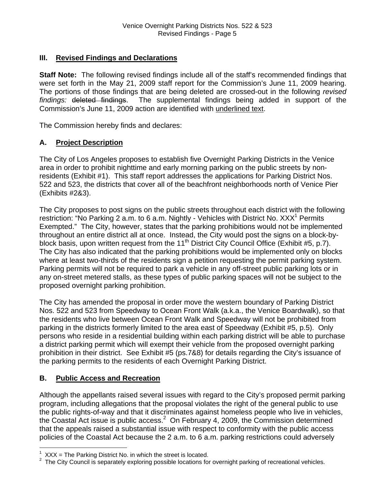### **III. Revised Findings and Declarations**

**Staff Note:** The following revised findings include all of the staff's recommended findings that were set forth in the May 21, 2009 staff report for the Commission's June 11, 2009 hearing. The portions of those findings that are being deleted are crossed-out in the following *revised findings:* deleted findings. The supplemental findings being added in support of the Commission's June 11, 2009 action are identified with underlined text.

The Commission hereby finds and declares:

### **A. Project Description**

The City of Los Angeles proposes to establish five Overnight Parking Districts in the Venice area in order to prohibit nighttime and early morning parking on the public streets by nonresidents (Exhibit #1). This staff report addresses the applications for Parking District Nos. 522 and 523, the districts that cover all of the beachfront neighborhoods north of Venice Pier (Exhibits #2&3).

The City proposes to post signs on the public streets throughout each district with the following restriction: "No Parking 2 a.m. to 6 a.m. Nightly - Vehicles with District No. XXX<sup>[1](#page-4-0)</sup> Permits Exempted." The City, however, states that the parking prohibitions would not be implemented throughout an entire district all at once. Instead, the City would post the signs on a block-byblock basis, upon written request from the 11th District City Council Office (Exhibit #5, p.7). The City has also indicated that the parking prohibitions would be implemented only on blocks where at least two-thirds of the residents sign a petition requesting the permit parking system. Parking permits will not be required to park a vehicle in any off-street public parking lots or in any on-street metered stalls, as these types of public parking spaces will not be subject to the proposed overnight parking prohibition.

The City has amended the proposal in order move the western boundary of Parking District Nos. 522 and 523 from Speedway to Ocean Front Walk (a.k.a., the Venice Boardwalk), so that the residents who live between Ocean Front Walk and Speedway will not be prohibited from parking in the districts formerly limited to the area east of Speedway (Exhibit #5, p.5). Only persons who reside in a residential building within each parking district will be able to purchase a district parking permit which will exempt their vehicle from the proposed overnight parking prohibition in their district. See Exhibit #5 (ps.7&8) for details regarding the City's issuance of the parking permits to the residents of each Overnight Parking District.

### **B. Public Access and Recreation**

Although the appellants raised several issues with regard to the City's proposed permit parking program, including allegations that the proposal violates the right of the general public to use the public rights-of-way and that it discriminates against homeless people who live in vehicles, the Coastal Act issue is public access. $^2$  On February 4, 2009, the Commission determined that the appeals raised a substantial issue with respect to conformity with the public access policies of the Coastal Act because the 2 a.m. to 6 a.m. parking restrictions could adversely

 $\overline{a}$  $1$  XXX = The Parking District No. in which the street is located.

<span id="page-4-1"></span><span id="page-4-0"></span> $2$  The City Council is separately exploring possible locations for overnight parking of recreational vehicles.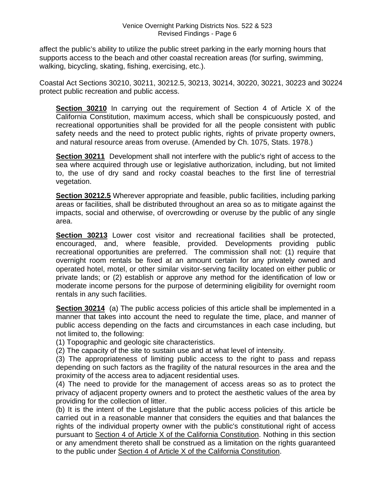affect the public's ability to utilize the public street parking in the early morning hours that supports access to the beach and other coastal recreation areas (for surfing, swimming, walking, bicycling, skating, fishing, exercising, etc.).

Coastal Act Sections 30210, 30211, 30212.5, 30213, 30214, 30220, 30221, 30223 and 30224 protect public recreation and public access.

**Section 30210** In carrying out the requirement of Section 4 of Article X of the California Constitution, maximum access, which shall be conspicuously posted, and recreational opportunities shall be provided for all the people consistent with public safety needs and the need to protect public rights, rights of private property owners, and natural resource areas from overuse. (Amended by Ch. 1075, Stats. 1978.)

**Section 30211** Development shall not interfere with the public's right of access to the sea where acquired through use or legislative authorization, including, but not limited to, the use of dry sand and rocky coastal beaches to the first line of terrestrial vegetation.

**Section 30212.5** Wherever appropriate and feasible, public facilities, including parking areas or facilities, shall be distributed throughout an area so as to mitigate against the impacts, social and otherwise, of overcrowding or overuse by the public of any single area.

**Section 30213** Lower cost visitor and recreational facilities shall be protected, encouraged, and, where feasible, provided. Developments providing public recreational opportunities are preferred. The commission shall not: (1) require that overnight room rentals be fixed at an amount certain for any privately owned and operated hotel, motel, or other similar visitor-serving facility located on either public or private lands; or (2) establish or approve any method for the identification of low or moderate income persons for the purpose of determining eligibility for overnight room rentals in any such facilities.

**Section 30214** (a) The public access policies of this article shall be implemented in a manner that takes into account the need to regulate the time, place, and manner of public access depending on the facts and circumstances in each case including, but not limited to, the following:

(1) Topographic and geologic site characteristics.

(2) The capacity of the site to sustain use and at what level of intensity.

(3) The appropriateness of limiting public access to the right to pass and repass depending on such factors as the fragility of the natural resources in the area and the proximity of the access area to adjacent residential uses.

(4) The need to provide for the management of access areas so as to protect the privacy of adjacent property owners and to protect the aesthetic values of the area by providing for the collection of litter.

(b) It is the intent of the Legislature that the public access policies of this article be carried out in a reasonable manner that considers the equities and that balances the rights of the individual property owner with the public's constitutional right of access pursuant to Section 4 of Article X of the California Constitution. Nothing in this section or any amendment thereto shall be construed as a limitation on the rights guaranteed to the public under Section 4 of Article X of the California Constitution.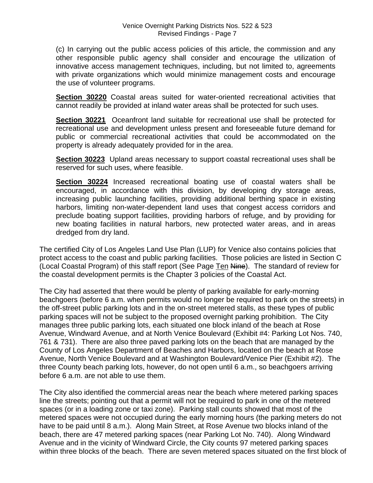(c) In carrying out the public access policies of this article, the commission and any other responsible public agency shall consider and encourage the utilization of innovative access management techniques, including, but not limited to, agreements with private organizations which would minimize management costs and encourage the use of volunteer programs.

**Section 30220** Coastal areas suited for water-oriented recreational activities that cannot readily be provided at inland water areas shall be protected for such uses.

**Section 30221** Oceanfront land suitable for recreational use shall be protected for recreational use and development unless present and foreseeable future demand for public or commercial recreational activities that could be accommodated on the property is already adequately provided for in the area.

**Section 30223** Upland areas necessary to support coastal recreational uses shall be reserved for such uses, where feasible.

**Section 30224** Increased recreational boating use of coastal waters shall be encouraged, in accordance with this division, by developing dry storage areas, increasing public launching facilities, providing additional berthing space in existing harbors, limiting non-water-dependent land uses that congest access corridors and preclude boating support facilities, providing harbors of refuge, and by providing for new boating facilities in natural harbors, new protected water areas, and in areas dredged from dry land.

The certified City of Los Angeles Land Use Plan (LUP) for Venice also contains policies that protect access to the coast and public parking facilities. Those policies are listed in Section C (Local Coastal Program) of this staff report (See Page Ten Nine). The standard of review for the coastal development permits is the Chapter 3 policies of the Coastal Act.

The City had asserted that there would be plenty of parking available for early-morning beachgoers (before 6 a.m. when permits would no longer be required to park on the streets) in the off-street public parking lots and in the on-street metered stalls, as these types of public parking spaces will not be subject to the proposed overnight parking prohibition. The City manages three public parking lots, each situated one block inland of the beach at Rose Avenue, Windward Avenue, and at North Venice Boulevard (Exhibit #4: Parking Lot Nos. 740, 761 & 731). There are also three paved parking lots on the beach that are managed by the County of Los Angeles Department of Beaches and Harbors, located on the beach at Rose Avenue, North Venice Boulevard and at Washington Boulevard/Venice Pier (Exhibit #2). The three County beach parking lots, however, do not open until 6 a.m., so beachgoers arriving before 6 a.m. are not able to use them.

The City also identified the commercial areas near the beach where metered parking spaces line the streets; pointing out that a permit will not be required to park in one of the metered spaces (or in a loading zone or taxi zone). Parking stall counts showed that most of the metered spaces were not occupied during the early morning hours (the parking meters do not have to be paid until 8 a.m.). Along Main Street, at Rose Avenue two blocks inland of the beach, there are 47 metered parking spaces (near Parking Lot No. 740). Along Windward Avenue and in the vicinity of Windward Circle, the City counts 97 metered parking spaces within three blocks of the beach. There are seven metered spaces situated on the first block of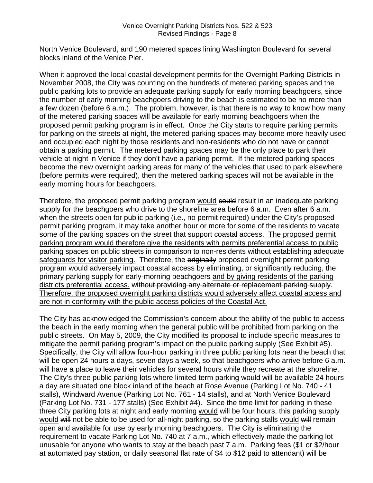North Venice Boulevard, and 190 metered spaces lining Washington Boulevard for several blocks inland of the Venice Pier.

When it approved the local coastal development permits for the Overnight Parking Districts in November 2008, the City was counting on the hundreds of metered parking spaces and the public parking lots to provide an adequate parking supply for early morning beachgoers, since the number of early morning beachgoers driving to the beach is estimated to be no more than a few dozen (before 6 a.m.). The problem, however, is that there is no way to know how many of the metered parking spaces will be available for early morning beachgoers when the proposed permit parking program is in effect. Once the City starts to require parking permits for parking on the streets at night, the metered parking spaces may become more heavily used and occupied each night by those residents and non-residents who do not have or cannot obtain a parking permit. The metered parking spaces may be the only place to park their vehicle at night in Venice if they don't have a parking permit. If the metered parking spaces become the new overnight parking areas for many of the vehicles that used to park elsewhere (before permits were required), then the metered parking spaces will not be available in the early morning hours for beachgoers.

Therefore, the proposed permit parking program would could result in an inadequate parking supply for the beachgoers who drive to the shoreline area before 6 a.m. Even after 6 a.m. when the streets open for public parking (i.e., no permit required) under the City's proposed permit parking program, it may take another hour or more for some of the residents to vacate some of the parking spaces on the street that support coastal access. The proposed permit parking program would therefore give the residents with permits preferential access to public parking spaces on public streets in comparison to non-residents without establishing adequate safeguards for visitor parking. Therefore, the eriginally proposed overnight permit parking program would adversely impact coastal access by eliminating, or significantly reducing, the primary parking supply for early-morning beachgoers and by giving residents of the parking districts preferential access. without providing any alternate or replacement parking supply. Therefore, the proposed overnight parking districts would adversely affect coastal access and are not in conformity with the public access policies of the Coastal Act.

The City has acknowledged the Commission's concern about the ability of the public to access the beach in the early morning when the general public will be prohibited from parking on the public streets. On May 5, 2009, the City modified its proposal to include specific measures to mitigate the permit parking program's impact on the public parking supply (See Exhibit #5). Specifically, the City will allow four-hour parking in three public parking lots near the beach that will be open 24 hours a days, seven days a week, so that beachgoers who arrive before 6 a.m. will have a place to leave their vehicles for several hours while they recreate at the shoreline. The City's three public parking lots where limited-term parking would will be available 24 hours a day are situated one block inland of the beach at Rose Avenue (Parking Lot No. 740 - 41 stalls), Windward Avenue (Parking Lot No. 761 - 14 stalls), and at North Venice Boulevard (Parking Lot No. 731 - 177 stalls) (See Exhibit #4). Since the time limit for parking in these three City parking lots at night and early morning would will be four hours, this parking supply would will not be able to be used for all-night parking, so the parking stalls would will remain open and available for use by early morning beachgoers. The City is eliminating the requirement to vacate Parking Lot No. 740 at 7 a.m., which effectively made the parking lot unusable for anyone who wants to stay at the beach past 7 a.m. Parking fees (\$1 or \$2/hour at automated pay station, or daily seasonal flat rate of \$4 to \$12 paid to attendant) will be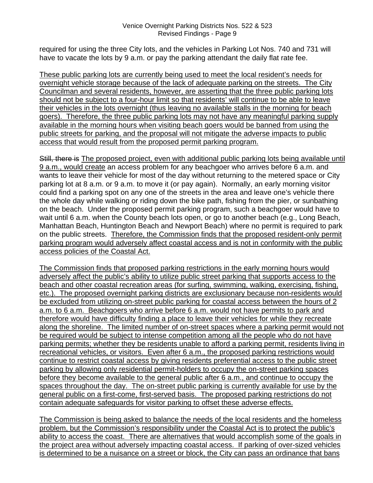required for using the three City lots, and the vehicles in Parking Lot Nos. 740 and 731 will have to vacate the lots by 9 a.m. or pay the parking attendant the daily flat rate fee.

These public parking lots are currently being used to meet the local resident's needs for overnight vehicle storage because of the lack of adequate parking on the streets. The City Councilman and several residents, however, are asserting that the three public parking lots should not be subject to a four-hour limit so that residents' will continue to be able to leave their vehicles in the lots overnight (thus leaving no available stalls in the morning for beach goers). Therefore, the three public parking lots may not have any meaningful parking supply available in the morning hours when visiting beach goers would be banned from using the public streets for parking, and the proposal will not mitigate the adverse impacts to public access that would result from the proposed permit parking program.

Still, there is The proposed project, even with additional public parking lots being available until 9 a.m., would create an access problem for any beachgoer who arrives before 6 a.m. and wants to leave their vehicle for most of the day without returning to the metered space or City parking lot at 8 a.m. or 9 a.m. to move it (or pay again). Normally, an early morning visitor could find a parking spot on any one of the streets in the area and leave one's vehicle there the whole day while walking or riding down the bike path, fishing from the pier, or sunbathing on the beach. Under the proposed permit parking program, such a beachgoer would have to wait until 6 a.m. when the County beach lots open, or go to another beach (e.g., Long Beach, Manhattan Beach, Huntington Beach and Newport Beach) where no permit is required to park on the public streets. Therefore, the Commission finds that the proposed resident-only permit parking program would adversely affect coastal access and is not in conformity with the public access policies of the Coastal Act.

The Commission finds that proposed parking restrictions in the early morning hours would adversely affect the public's ability to utilize public street parking that supports access to the beach and other coastal recreation areas (for surfing, swimming, walking, exercising, fishing, etc.). The proposed overnight parking districts are exclusionary because non-residents would be excluded from utilizing on-street public parking for coastal access between the hours of 2 a.m. to 6 a.m. Beachgoers who arrive before 6 a.m. would not have permits to park and therefore would have difficulty finding a place to leave their vehicles for while they recreate along the shoreline. The limited number of on-street spaces where a parking permit would not be required would be subject to intense competition among all the people who do not have parking permits; whether they be residents unable to afford a parking permit, residents living in recreational vehicles, or visitors. Even after 6 a.m., the proposed parking restrictions would continue to restrict coastal access by giving residents preferential access to the public street parking by allowing only residential permit-holders to occupy the on-street parking spaces before they become available to the general public after 6 a.m., and continue to occupy the spaces throughout the day. The on-street public parking is currently available for use by the general public on a first-come, first-served basis. The proposed parking restrictions do not contain adequate safeguards for visitor parking to offset these adverse effects.

The Commission is being asked to balance the needs of the local residents and the homeless problem, but the Commission's responsibility under the Coastal Act is to protect the public's ability to access the coast. There are alternatives that would accomplish some of the goals in the project area without adversely impacting coastal access. If parking of over-sized vehicles is determined to be a nuisance on a street or block, the City can pass an ordinance that bans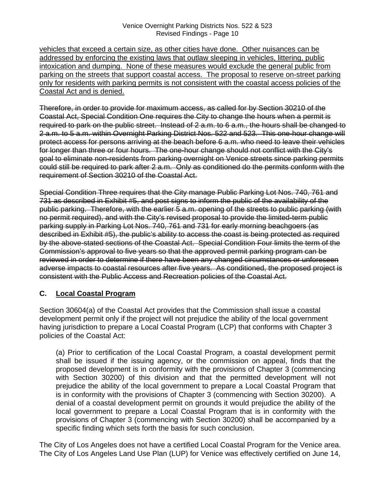vehicles that exceed a certain size, as other cities have done. Other nuisances can be addressed by enforcing the existing laws that outlaw sleeping in vehicles, littering, public intoxication and dumping. None of these measures would exclude the general public from parking on the streets that support coastal access. The proposal to reserve on-street parking only for residents with parking permits is not consistent with the coastal access policies of the Coastal Act and is denied.

Therefore, in order to provide for maximum access, as called for by Section 30210 of the Coastal Act, Special Condition One requires the City to change the hours when a permit is required to park on the public street. Instead of 2 a.m. to 6 a.m., the hours shall be changed to 2 a.m. to 5 a.m. within Overnight Parking District Nos. 522 and 523. This one-hour change will protect access for persons arriving at the beach before 6 a.m. who need to leave their vehicles for longer than three or four hours. The one-hour change should not conflict with the City's goal to eliminate non-residents from parking overnight on Venice streets since parking permits could still be required to park after 2 a.m. Only as conditioned do the permits conform with the requirement of Section 30210 of the Coastal Act.

Special Condition Three requires that the City manage Public Parking Lot Nos. 740, 761 and 731 as described in Exhibit #5, and post signs to inform the public of the availability of the public parking. Therefore, with the earlier 5 a.m. opening of the streets to public parking (with no permit required), and with the City's revised proposal to provide the limited-term public parking supply in Parking Lot Nos. 740, 761 and 731 for early morning beachgoers (as described in Exhibit #5), the public's ability to access the coast is being protected as required by the above-stated sections of the Coastal Act. Special Condition Four limits the term of the Commission's approval to five years so that the approved permit parking program can be reviewed in order to determine if there have been any changed circumstances or unforeseen adverse impacts to coastal resources after five years. As conditioned, the proposed project is consistent with the Public Access and Recreation policies of the Coastal Act.

### **C. Local Coastal Program**

Section 30604(a) of the Coastal Act provides that the Commission shall issue a coastal development permit only if the project will not prejudice the ability of the local government having jurisdiction to prepare a Local Coastal Program (LCP) that conforms with Chapter 3 policies of the Coastal Act:

 (a) Prior to certification of the Local Coastal Program, a coastal development permit shall be issued if the issuing agency, or the commission on appeal, finds that the proposed development is in conformity with the provisions of Chapter 3 (commencing with Section 30200) of this division and that the permitted development will not prejudice the ability of the local government to prepare a Local Coastal Program that is in conformity with the provisions of Chapter 3 (commencing with Section 30200). A denial of a coastal development permit on grounds it would prejudice the ability of the local government to prepare a Local Coastal Program that is in conformity with the provisions of Chapter 3 (commencing with Section 30200) shall be accompanied by a specific finding which sets forth the basis for such conclusion.

The City of Los Angeles does not have a certified Local Coastal Program for the Venice area. The City of Los Angeles Land Use Plan (LUP) for Venice was effectively certified on June 14,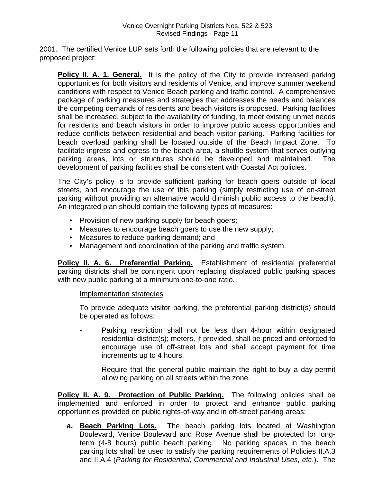2001. The certified Venice LUP sets forth the following policies that are relevant to the proposed project:

**Policy II. A. 1. General.** It is the policy of the City to provide increased parking opportunities for both visitors and residents of Venice, and improve summer weekend conditions with respect to Venice Beach parking and traffic control. A comprehensive package of parking measures and strategies that addresses the needs and balances the competing demands of residents and beach visitors is proposed. Parking facilities shall be increased, subject to the availability of funding, to meet existing unmet needs for residents and beach visitors in order to improve public access opportunities and reduce conflicts between residential and beach visitor parking. Parking facilities for beach overload parking shall be located outside of the Beach Impact Zone. To facilitate ingress and egress to the beach area, a shuttle system that serves outlying parking areas, lots or structures should be developed and maintained. The development of parking facilities shall be consistent with Coastal Act policies.

The City's policy is to provide sufficient parking for beach goers outside of local streets, and encourage the use of this parking (simply restricting use of on-street parking without providing an alternative would diminish public access to the beach). An integrated plan should contain the following types of measures:

- Provision of new parking supply for beach goers;
- Measures to encourage beach goers to use the new supply;
- Measures to reduce parking demand; and
- Management and coordination of the parking and traffic system.

**Policy II. A. 6. Preferential Parking.** Establishment of residential preferential parking districts shall be contingent upon replacing displaced public parking spaces with new public parking at a minimum one-to-one ratio.

### Implementation strategies

To provide adequate visitor parking, the preferential parking district(s) should be operated as follows:

- Parking restriction shall not be less than 4-hour within designated residential district(s); meters, if provided, shall be priced and enforced to encourage use of off-street lots and shall accept payment for time increments up to 4 hours.
- Require that the general public maintain the right to buy a day-permit allowing parking on all streets within the zone.

**Policy II. A. 9. Protection of Public Parking.** The following policies shall be implemented and enforced in order to protect and enhance public parking opportunities provided on public rights-of-way and in off-street parking areas:

**a. Beach Parking Lots.** The beach parking lots located at Washington Boulevard, Venice Boulevard and Rose Avenue shall be protected for longterm (4-8 hours) public beach parking. No parking spaces in the beach parking lots shall be used to satisfy the parking requirements of Policies II.A.3 and II.A.4 (*Parking for Residential, Commercial and Industrial Uses, etc*.). The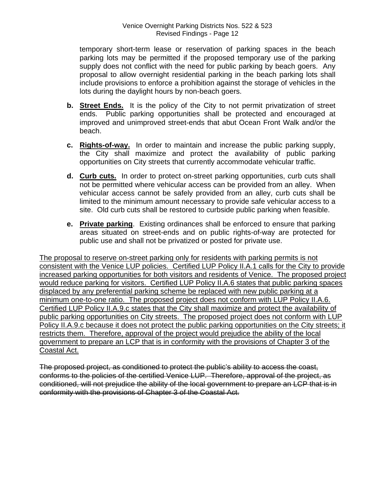temporary short-term lease or reservation of parking spaces in the beach parking lots may be permitted if the proposed temporary use of the parking supply does not conflict with the need for public parking by beach goers. Any proposal to allow overnight residential parking in the beach parking lots shall include provisions to enforce a prohibition against the storage of vehicles in the lots during the daylight hours by non-beach goers.

- **b. Street Ends.** It is the policy of the City to not permit privatization of street ends. Public parking opportunities shall be protected and encouraged at improved and unimproved street-ends that abut Ocean Front Walk and/or the beach.
- **c. Rights-of-way.** In order to maintain and increase the public parking supply, the City shall maximize and protect the availability of public parking opportunities on City streets that currently accommodate vehicular traffic.
- **d. Curb cuts.** In order to protect on-street parking opportunities, curb cuts shall not be permitted where vehicular access can be provided from an alley. When vehicular access cannot be safely provided from an alley, curb cuts shall be limited to the minimum amount necessary to provide safe vehicular access to a site. Old curb cuts shall be restored to curbside public parking when feasible.
- **e. Private parking**. Existing ordinances shall be enforced to ensure that parking areas situated on street-ends and on public rights-of-way are protected for public use and shall not be privatized or posted for private use.

The proposal to reserve on-street parking only for residents with parking permits is not consistent with the Venice LUP policies. Certified LUP Policy II.A.1 calls for the City to provide increased parking opportunities for both visitors and residents of Venice. The proposed project would reduce parking for visitors. Certified LUP Policy II.A.6 states that public parking spaces displaced by any preferential parking scheme be replaced with new public parking at a minimum one-to-one ratio. The proposed project does not conform with LUP Policy II.A.6. Certified LUP Policy II.A.9.c states that the City shall maximize and protect the availability of public parking opportunities on City streets. The proposed project does not conform with LUP Policy II.A.9.c because it does not protect the public parking opportunities on the City streets; it restricts them. Therefore, approval of the project would prejudice the ability of the local government to prepare an LCP that is in conformity with the provisions of Chapter 3 of the Coastal Act.

The proposed project, as conditioned to protect the public's ability to access the coast, conforms to the policies of the certified Venice LUP. Therefore, approval of the project, as conditioned, will not prejudice the ability of the local government to prepare an LCP that is in conformity with the provisions of Chapter 3 of the Coastal Act.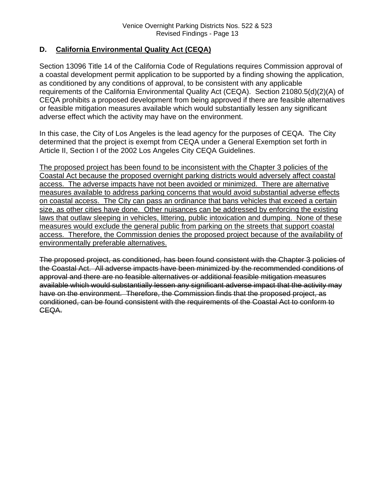### **D. California Environmental Quality Act (CEQA)**

Section 13096 Title 14 of the California Code of Regulations requires Commission approval of a coastal development permit application to be supported by a finding showing the application, as conditioned by any conditions of approval, to be consistent with any applicable requirements of the California Environmental Quality Act (CEQA). Section 21080.5(d)(2)(A) of CEQA prohibits a proposed development from being approved if there are feasible alternatives or feasible mitigation measures available which would substantially lessen any significant adverse effect which the activity may have on the environment.

In this case, the City of Los Angeles is the lead agency for the purposes of CEQA. The City determined that the project is exempt from CEQA under a General Exemption set forth in Article II, Section I of the 2002 Los Angeles City CEQA Guidelines.

The proposed project has been found to be inconsistent with the Chapter 3 policies of the Coastal Act because the proposed overnight parking districts would adversely affect coastal access. The adverse impacts have not been avoided or minimized. There are alternative measures available to address parking concerns that would avoid substantial adverse effects on coastal access. The City can pass an ordinance that bans vehicles that exceed a certain size, as other cities have done. Other nuisances can be addressed by enforcing the existing laws that outlaw sleeping in vehicles, littering, public intoxication and dumping. None of these measures would exclude the general public from parking on the streets that support coastal access. Therefore, the Commission denies the proposed project because of the availability of environmentally preferable alternatives.

The proposed project, as conditioned, has been found consistent with the Chapter 3 policies of the Coastal Act. All adverse impacts have been minimized by the recommended conditions of approval and there are no feasible alternatives or additional feasible mitigation measures available which would substantially lessen any significant adverse impact that the activity may have on the environment. Therefore, the Commission finds that the proposed project, as conditioned, can be found consistent with the requirements of the Coastal Act to conform to CEQA.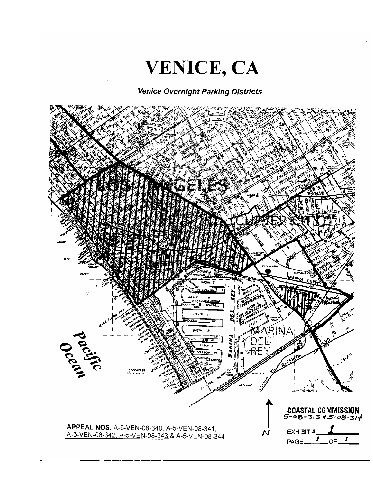

### **Venice Overnight Parking Districts**

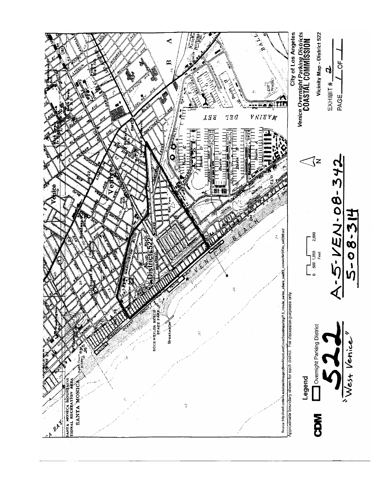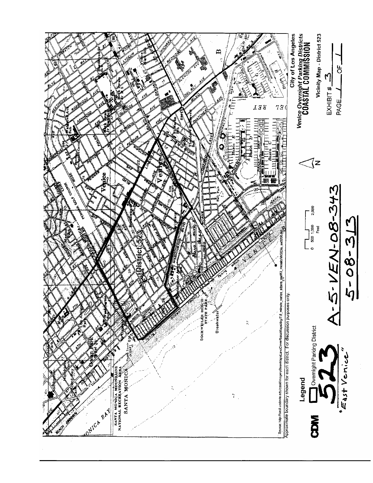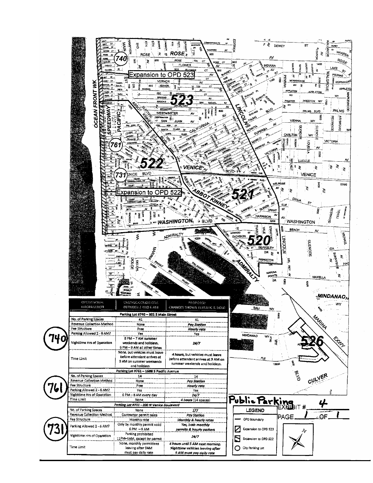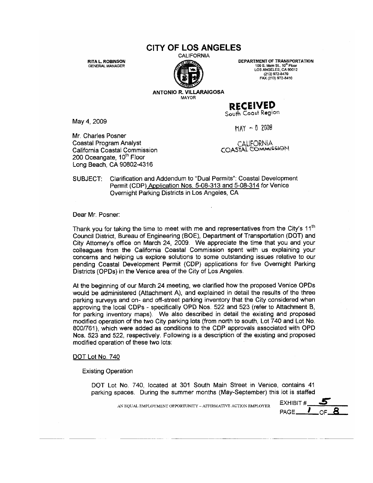### **CITY OF LOS ANGELES**

CALIFORNIA

**RITA L. ROBINSON GENERAL MANAGER** 

DEPARTMENT OF TRANSPORTATION 100 S. Main St., 10<sup>th</sup> Floor<br>LOS ANGELES, CA 90012 (213) 972-8470<br>FAX (213) 972-8410

**ANTONIO R. VILLARAIGOSA** MAYOR

May 4, 2009

Mr. Charles Posner Coastal Program Analyst California Coastal Commission 200 Oceangate, 10<sup>th</sup> Floor Long Beach, CA 90802-4316

 $MAX - 52009$ 

**RECEIVED** South Coast Region

CALIFORNIA COASTAL COMMISSION

Clarification and Addendum to "Dual Permits": Coastal Development SUBJECT: Permit (CDP) Application Nos. 5-08-313 and 5-08-314 for Venice Overnight Parking Districts in Los Angeles, CA

Dear Mr. Posner:

Thank you for taking the time to meet with me and representatives from the City's 11<sup>th</sup> Council District, Bureau of Engineering (BOE), Department of Transportation (DOT) and City Attorney's office on March 24, 2009. We appreciate the time that you and your colleagues from the California Coastal Commission spent with us explaining your concerns and helping us explore solutions to some outstanding issues relative to our pending Coastal Development Permit (CDP) applications for five Overnight Parking Districts (OPDs) in the Venice area of the City of Los Angeles.

At the beginning of our March 24 meeting, we clarified how the proposed Venice OPDs would be administered (Attachment A), and explained in detail the results of the three parking surveys and on- and off-street parking inventory that the City considered when approving the local CDPs - specifically OPD Nos. 522 and 523 (refer to Attachment B, for parking inventory maps). We also described in detail the existing and proposed modified operation of the two City parking lots (from north to south, Lot 740 and Lot No. 800/761), which were added as conditions to the CDP approvals associated with OPD Nos. 523 and 522, respectively. Following is a description of the existing and proposed modified operation of these two lots:

DOT Lot No. 740

**Existing Operation** 

DOT Lot No. 740, located at 301 South Main Street in Venice, contains 41 parking spaces. During the summer months (May-September) this lot is staffed

AN EQUAL EMPLOYMENT OPPORTUNITY - AFFIRMATIVE ACTION EMPLOYER

EXHIBIT # 1 PAGE\_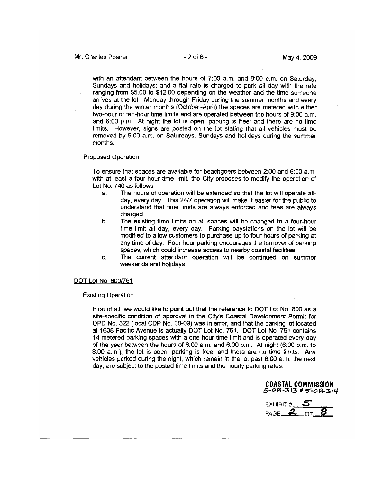with an attendant between the hours of 7:00 a.m. and 8:00 p.m. on Saturday. Sundays and holidays; and a flat rate is charged to park all day with the rate ranging from \$5.00 to \$12.00 depending on the weather and the time someone arrives at the lot. Monday through Friday during the summer months and every day during the winter months (October-April) the spaces are metered with either two-hour or ten-hour time limits and are operated between the hours of 9:00 a.m. and 6:00 p.m. At night the lot is open; parking is free; and there are no time limits. However, signs are posted on the lot stating that all vehicles must be removed by 9:00 a.m. on Saturdays, Sundays and holidays during the summer months.

#### Proposed Operation

To ensure that spaces are available for beachgoers between 2:00 and 6:00 a.m. with at least a four-hour time limit, the City proposes to modify the operation of Lot No. 740 as follows:

- The hours of operation will be extended so that the lot will operate all $a<sub>1</sub>$ day, every day. This 24/7 operation will make it easier for the public to understand that time limits are always enforced and fees are always charged.
- b. The existing time limits on all spaces will be changed to a four-hour time limit all day, every day. Parking paystations on the lot will be modified to allow customers to purchase up to four hours of parking at any time of day. Four hour parking encourages the turnover of parking spaces, which could increase access to nearby coastal facilities.
- The current attendant operation will be continued on summer C. weekends and holidays.

#### DOT Lot No. 800/761

#### **Existing Operation**

First of all, we would like to point out that the reference to DOT Lot No. 800 as a site-specific condition of approval in the City's Coastal Development Permit for OPD No. 522 (local CDP No. 08-09) was in error, and that the parking lot located at 1608 Pacific Avenue is actually DOT Lot No. 761. DOT Lot No. 761 contains 14 metered parking spaces with a one-hour time limit and is operated every day of the year between the hours of 8:00 a.m. and 6:00 p.m. At night (6:00 p.m. to 8:00 a.m.), the lot is open; parking is free; and there are no time limits. Any vehicles parked during the night, which remain in the lot past 8:00 a.m. the next day, are subject to the posted time limits and the hourly parking rates.

**COASTAL COMMISSION**  $5 - 08 - 313 + 5 - 08 - 314$ 

EXHIBIT  $#$  5 PAGE  $20F$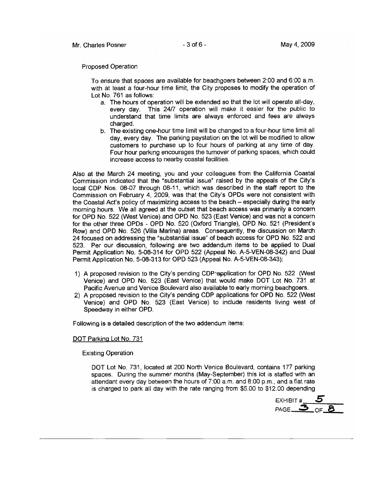#### **Proposed Operation**

To ensure that spaces are available for beachgoers between 2:00 and 6:00 a.m. with at least a four-hour time limit, the City proposes to modify the operation of Lot No. 761 as follows:

- a. The hours of operation will be extended so that the lot will operate all-day, every day. This 24/7 operation will make it easier for the public to understand that time limits are always enforced and fees are always charged.
- b. The existing one-hour time limit will be changed to a four-hour time limit all day, every day. The parking paystation on the lot will be modified to allow customers to purchase up to four hours of parking at any time of day. Four hour parking encourages the turnover of parking spaces, which could increase access to nearby coastal facilities.

Also at the March 24 meeting, you and your colleagues from the California Coastal Commission indicated that the "substantial issue" raised by the appeals of the City's local CDP Nos. 08-07 through 08-11, which was described in the staff report to the Commission on February 4, 2009, was that the City's OPDs were not consistent with the Coastal Act's policy of maximizing access to the beach - especially during the early morning hours. We all agreed at the outset that beach access was primarily a concern for OPD No. 522 (West Venice) and OPD No. 523 (East Venice) and was not a concern for the other three OPDs - OPD No. 520 (Oxford Triangle), OPD No. 521 (President's Row) and OPD No. 526 (Villa Marina) areas. Consequently, the discussion on March 24 focused on addressing the "substantial issue" of beach access for OPD No. 522 and 523. Per our discussion, following are two addendum items to be applied to Dual Permit Application No. 5-08-314 for OPD 522 (Appeal No. A-5-VEN-08-342) and Dual Permit Application No. 5-08-313 for OPD 523 (Appeal No. A-5-VEN-08-343):

- 1) A proposed revision to the City's pending CDP application for OPD No. 522 (West Venice) and OPD No. 523 (East Venice) that would make DOT Lot No. 731 at Pacific Avenue and Venice Boulevard also available to early morning beachgoers.
- 2) A proposed revision to the City's pending CDP applications for OPD No. 522 (West Venice) and OPD No. 523 (East Venice) to include residents living west of Speedway in either OPD.

Following is a detailed description of the two addendum items:

#### DOT Parking Lot No. 731

**Existing Operation** 

DOT Lot No. 731, located at 200 North Venice Boulevard, contains 177 parking spaces. During the summer months (May-September) this lot is staffed with an attendant every day between the hours of 7:00 a.m. and 8:00 p.m., and a flat rate is charged to park all day with the rate ranging from \$5.00 to \$12.00 depending

EXHIBIT #  $PAGE \_\mathbf{3}$  $CF$  $B$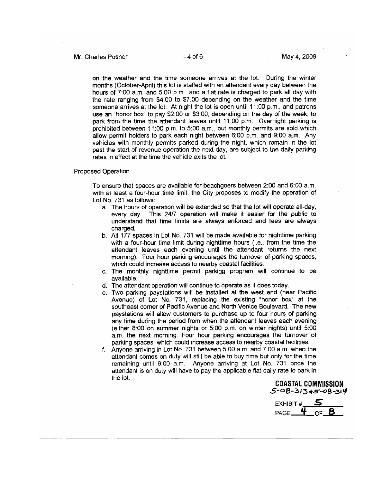on the weather and the time someone arrives at the lot. During the winter months (October-April) this lot is staffed with an attendant every day between the hours of 7:00 a.m. and 5:00 p.m., and a flat rate is charged to park all day with the rate ranging from \$4.00 to \$7.00 depending on the weather and the time someone arrives at the lot. At night the lot is open until 11:00 p.m., and patrons use an "honor box" to pay \$2.00 or \$3.00, depending on the day of the week, to park from the time the attendant leaves until 11:00 p.m. Overnight parking is prohibited between 11:00 p.m. to 5:00 a.m., but monthly permits are sold which allow permit holders to park each night between 6:00 p.m. and 9:00 a.m. Any vehicles with monthly permits parked during the night, which remain in the lot past the start of revenue operation the next day, are subject to the daily parking rates in effect at the time the vehicle exits the lot.

#### Proposed Operation

To ensure that spaces are available for beachgoers between 2:00 and 6:00 a.m. with at least a four-hour time limit, the City proposes to modify the operation of Lot No. 731 as follows:

- a. The hours of operation will be extended so that the lot will operate all-day, every day. This 24/7 operation will make it easier for the public to understand that time limits are always enforced and fees are always charged.
- b. All 177 spaces in Lot No. 731 will be made available for nighttime parking with a four-hour time limit during nighttime hours (i.e., from the time the attendant leaves each evening until the attendant returns the next morning). Four hour parking encourages the turnover of parking spaces, which could increase access to nearby coastal facilities.
- c. The monthly nighttime permit parking program will continue to be available.
- d. The attendant operation will continue to operate as it does today.
- e. Two parking paystations will be installed at the west end (near Pacific Avenue) of Lot No. 731, replacing the existing "honor box" at the southeast corner of Pacific Avenue and North Venice Boulevard. The new paystations will allow customers to purchase up to four hours of parking any time during the period from when the attendant leaves each evening (either 8:00 on summer nights or 5:00 p.m. on winter nights) until 5:00 a.m. the next morning. Four hour parking encourages the turnover of parking spaces, which could increase access to nearby coastal facilities.
- f. Anyone arriving in Lot No. 731 between 5:00 a.m. and 7:00 a.m. when the attendant comes on duty will still be able to buy time but only for the time remaining until 9:00 a.m. Anyone arriving at Lot No. 731 once the attendant is on duty will have to pay the applicable flat daily rate to park in the lot.

COASTAL COMMISSION  $5 - 08 - 313 + 5 - 08 - 314$ 

EXHIBIT # PAGE  $4$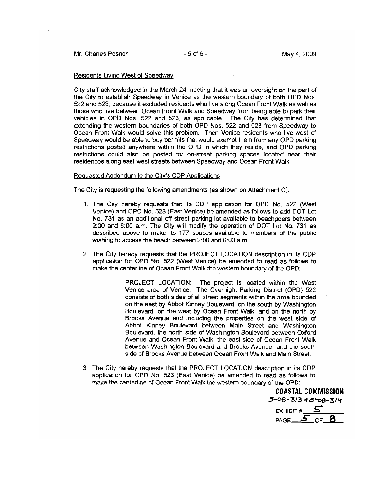#### Residents Living West of Speedway

City staff acknowledged in the March 24 meeting that it was an oversight on the part of the City to establish Speedway in Venice as the western boundary of both OPD Nos. 522 and 523, because it excluded residents who live along Ocean Front Walk as well as those who live between Ocean Front Walk and Speedway from being able to park their vehicles in OPD Nos. 522 and 523, as applicable. The City has determined that extending the western boundaries of both OPD Nos. 522 and 523 from Speedway to Ocean Front Walk would solve this problem. Then Venice residents who live west of Speedway would be able to buy permits that would exempt them from any OPD parking restrictions posted anywhere within the OPD in which they reside, and OPD parking restrictions could also be posted for on-street parking spaces located near their residences along east-west streets between Speedway and Ocean Front Walk.

#### Requested Addendum to the City's CDP Applications

The City is requesting the following amendments (as shown on Attachment C):

- 1. The City hereby requests that its CDP application for OPD No. 522 (West Venice) and OPD No. 523 (East Venice) be amended as follows to add DOT Lot No. 731 as an additional off-street parking lot available to beachgoers between 2:00 and 6:00 a.m. The City will modify the operation of DOT Lot No. 731 as described above to make its 177 spaces available to members of the public wishing to access the beach between 2:00 and 6:00 a.m.
- 2. The City hereby requests that the PROJECT LOCATION description in its CDP application for OPD No. 522 (West Venice) be amended to read as follows to make the centerline of Ocean Front Walk the western boundary of the OPD:

PROJECT LOCATION: The project is located within the West Venice area of Venice. The Overnight Parking District (OPD) 522 consists of both sides of all street segments within the area bounded on the east by Abbot Kinney Boulevard, on the south by Washington Boulevard, on the west by Ocean Front Walk, and on the north by Brooks Avenue and including the properties on the west side of Abbot Kinney Boulevard between Main Street and Washington Boulevard, the north side of Washington Boulevard between Oxford Avenue and Ocean Front Walk, the east side of Ocean Front Walk between Washington Boulevard and Brooks Avenue, and the south side of Brooks Avenue between Ocean Front Walk and Main Street.

3. The City hereby requests that the PROJECT LOCATION description in its CDP application for OPD No. 523 (East Venice) be amended to read as follows to make the centerline of Ocean Front Walk the western boundary of the OPD:

**COASTAL COMMISSION**  $5 - 08 - 3/3$   $45 - 08 - 3/4$ 

EXHIBIT  $#$  5  $PAGE =$ OF  $-$ **8**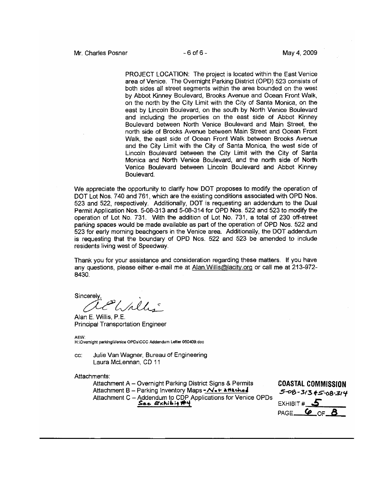PROJECT LOCATION: The project is located within the East Venice area of Venice. The Overnight Parking District (OPD) 523 consists of both sides all street segments within the area bounded on the west by Abbot Kinney Boulevard, Brooks Avenue and Ocean Front Walk, on the north by the City Limit with the City of Santa Monica, on the east by Lincoln Boulevard, on the south by North Venice Boulevard and including the properties on the east side of Abbot Kinney Boulevard between North Venice Boulevard and Main Street, the north side of Brooks Avenue between Main Street and Ocean Front Walk, the east side of Ocean Front Walk between Brooks Avenue and the City Limit with the City of Santa Monica, the west side of Lincoln Boulevard between the City Limit with the City of Santa Monica and North Venice Boulevard, and the north side of North Venice Boulevard between Lincoln Boulevard and Abbot Kinney Boulevard.

We appreciate the opportunity to clarify how DOT proposes to modify the operation of DOT Lot Nos. 740 and 761, which are the existing conditions associated with OPD Nos. 523 and 522, respectively. Additionally, DOT is requesting an addendum to the Dual Permit Application Nos. 5-08-313 and 5-08-314 for OPD Nos. 522 and 523 to modify the operation of Lot No. 731. With the addition of Lot No. 731, a total of 230 off-street parking spaces would be made available as part of the operation of OPD Nos. 522 and 523 for early morning beachgoers in the Venice area. Additionally, the DOT addendum is requesting that the boundary of OPD Nos. 522 and 523 be amended to include residents living west of Speedway.

Thank you for your assistance and consideration regarding these matters. If you have any questions, please either e-mail me at Alan. Willis@lacity.org or call me at 213-972-8430.

Sincerely hiller

Alan E. Willis, P.E. **Principal Transportation Engineer** 

AEW:

H:\Overnight parking\Venice OPDs\CCC Addendum Letter 050409.doc

Julie Van Wagner, Bureau of Engineering CC. Laura McLennan, CD 11

Attachments:

Attachment A - Overnight Parking District Signs & Permits Attachment B - Parking Inventory Maps - Not attached Attachment C - Addendum to CDP Applications for Venice OPDs See Exhibit#4

**COASTAL COMMISSION**  $5 - 08 - 3/3 + 5 - 08 - 314$ EXHIBIT# PAGE\_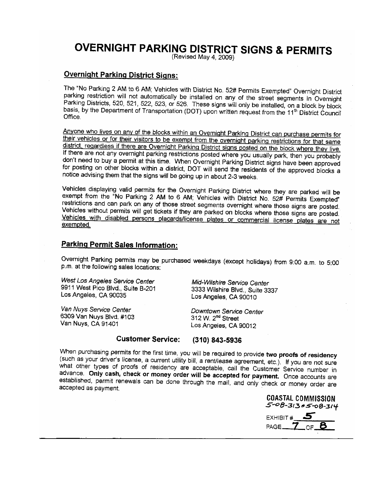## **OVERNIGHT PARKING DISTRICT SIGNS & PERMITS**

(Revised May 4, 2009)

#### **Overnight Parking District Signs:**

The "No Parking 2 AM to 6 AM; Vehicles with District No. 52# Permits Exempted" Overnight District parking restriction will not automatically be installed on any of the street segments in Overnight Parking Districts, 520, 521, 522, 523, or 526. These signs will only be installed, on a block by block basis, by the Department of Transportation (DOT) upon written request from the 11<sup>th</sup> District Council Office.

Anyone who lives on any of the blocks within an Overnight Parking District can purchase permits for their vehicles or for their visitors to be exempt from the overnight parking restrictions for that same district, regardless if there are Overnight Parking District signs posted on the block where they live. If there are not any overnight parking restrictions posted where you usually park, then you probably don't need to buy a permit at this time. When Overnight Parking District signs have been approved for posting on other blocks within a district, DOT will send the residents of the approved blocks a notice advising them that the signs will be going up in about 2-3 weeks.

Vehicles displaying valid permits for the Overnight Parking District where they are parked will be exempt from the "No Parking 2 AM to 6 AM; Vehicles with District No. 52# Permits Exempted" restrictions and can park on any of those street segments overnight where those signs are posted. Vehicles without permits will get tickets if they are parked on blocks where those signs are posted. Vehicles with disabled persons placards/license plates or commercial license plates are not exempted.

#### **Parking Permit Sales Information:**

Overnight Parking permits may be purchased weekdays (except holidays) from 9:00 a.m. to 5:00 p.m. at the following sales locations:

West Los Angeles Service Center 9911 West Pico Blvd., Suite B-201 Los Angeles, CA 90035

Van Nuys Service Center 6309 Van Nuvs Blvd, #103 Van Nuys, CA 91401

Mid-Wilshire Service Center 3333 Wilshire Blvd., Suite 3337 Los Angeles, CA 90010

Downtown Service Center 312 W. 2<sup>nd</sup> Street Los Angeles, CA 90012

#### **Customer Service:** (310) 843-5936

When purchasing permits for the first time, you will be required to provide two proofs of residency (such as your driver's license, a current utility bill, a rent/lease agreement, etc.). If you are not sure what other types of proofs of residency are acceptable, call the Customer Service number in advance. Only cash, check or money order will be accepted for payment. Once accounts are established, permit renewals can be done through the mail, and only check or money order are accepted as payment.

**COASTAL COMMISSION**  $5 - 08 - 313 + 5 - 08 - 314$ 

EXHIBIT # PAGE.